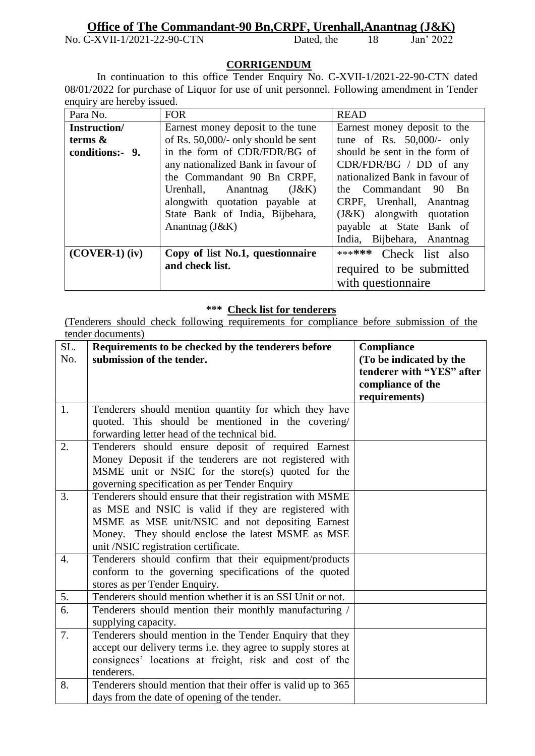## **Office of The Commandant-90 Bn, CRPF, Urenhall, Anantnag (J&K)**<br>C-XVII-1/2021-22-90-CTN Dated, the 18 Jan' 2022

No. C-XVII-1/2021-22-90-CTN Dated, the 18

## **CORRIGENDUM**

In continuation to this office Tender Enquiry No. C-XVII-1/2021-22-90-CTN dated 08/01/2022 for purchase of Liquor for use of unit personnel. Following amendment in Tender enquiry are hereby issued.

| Para No.         | <b>FOR</b>                          | <b>READ</b>                    |
|------------------|-------------------------------------|--------------------------------|
| Instruction/     | Earnest money deposit to the tune   | Earnest money deposit to the   |
| terms $\&$       | of Rs. 50,000/- only should be sent | tune of Rs. $50,000/-$ only    |
| conditions:- 9.  | in the form of CDR/FDR/BG of        | should be sent in the form of  |
|                  | any nationalized Bank in favour of  | $CDR/FDR/BG / DD$ of any       |
|                  | the Commandant 90 Bn CRPF,          | nationalized Bank in favour of |
|                  | Urenhall, Anantnag<br>(J&K)         | the Commandant 90<br>– Bn      |
|                  | alongwith quotation payable at      | CRPF, Urenhall, Anantnag       |
|                  | State Bank of India, Bijbehara,     | $(J&K)$ alongwith quotation    |
|                  | Anantnag $(J&K)$                    | payable at State Bank of       |
|                  |                                     | India, Bijbehara, Anantnag     |
| $(COVER-1)$ (iv) | Copy of list No.1, questionnaire    | ****** Check list also         |
|                  | and check list.                     | required to be submitted       |
|                  |                                     | with question aire             |

## **\*\*\* Check list for tenderers**

(Tenderers should check following requirements for compliance before submission of the tender documents)

| SL.<br>No.       | Requirements to be checked by the tenderers before<br>submission of the tender.        | Compliance<br>(To be indicated by the<br>tenderer with "YES" after<br>compliance of the |
|------------------|----------------------------------------------------------------------------------------|-----------------------------------------------------------------------------------------|
|                  |                                                                                        | requirements)                                                                           |
| 1.               | Tenderers should mention quantity for which they have                                  |                                                                                         |
|                  | quoted. This should be mentioned in the covering/                                      |                                                                                         |
|                  | forwarding letter head of the technical bid.                                           |                                                                                         |
| 2.               | Tenderers should ensure deposit of required Earnest                                    |                                                                                         |
|                  | Money Deposit if the tenderers are not registered with                                 |                                                                                         |
|                  | MSME unit or NSIC for the store(s) quoted for the                                      |                                                                                         |
|                  | governing specification as per Tender Enquiry                                          |                                                                                         |
| 3.               | Tenderers should ensure that their registration with MSME                              |                                                                                         |
|                  | as MSE and NSIC is valid if they are registered with                                   |                                                                                         |
|                  | MSME as MSE unit/NSIC and not depositing Earnest                                       |                                                                                         |
|                  | Money. They should enclose the latest MSME as MSE                                      |                                                                                         |
|                  | unit /NSIC registration certificate.                                                   |                                                                                         |
| $\overline{4}$ . | Tenderers should confirm that their equipment/products                                 |                                                                                         |
|                  | conform to the governing specifications of the quoted<br>stores as per Tender Enquiry. |                                                                                         |
| 5.               | Tenderers should mention whether it is an SSI Unit or not.                             |                                                                                         |
| 6.               | Tenderers should mention their monthly manufacturing /                                 |                                                                                         |
|                  | supplying capacity.                                                                    |                                                                                         |
| 7.               | Tenderers should mention in the Tender Enquiry that they                               |                                                                                         |
|                  | accept our delivery terms i.e. they agree to supply stores at                          |                                                                                         |
|                  | consignees' locations at freight, risk and cost of the                                 |                                                                                         |
|                  | tenderers.                                                                             |                                                                                         |
| 8.               | Tenderers should mention that their offer is valid up to 365                           |                                                                                         |
|                  | days from the date of opening of the tender.                                           |                                                                                         |